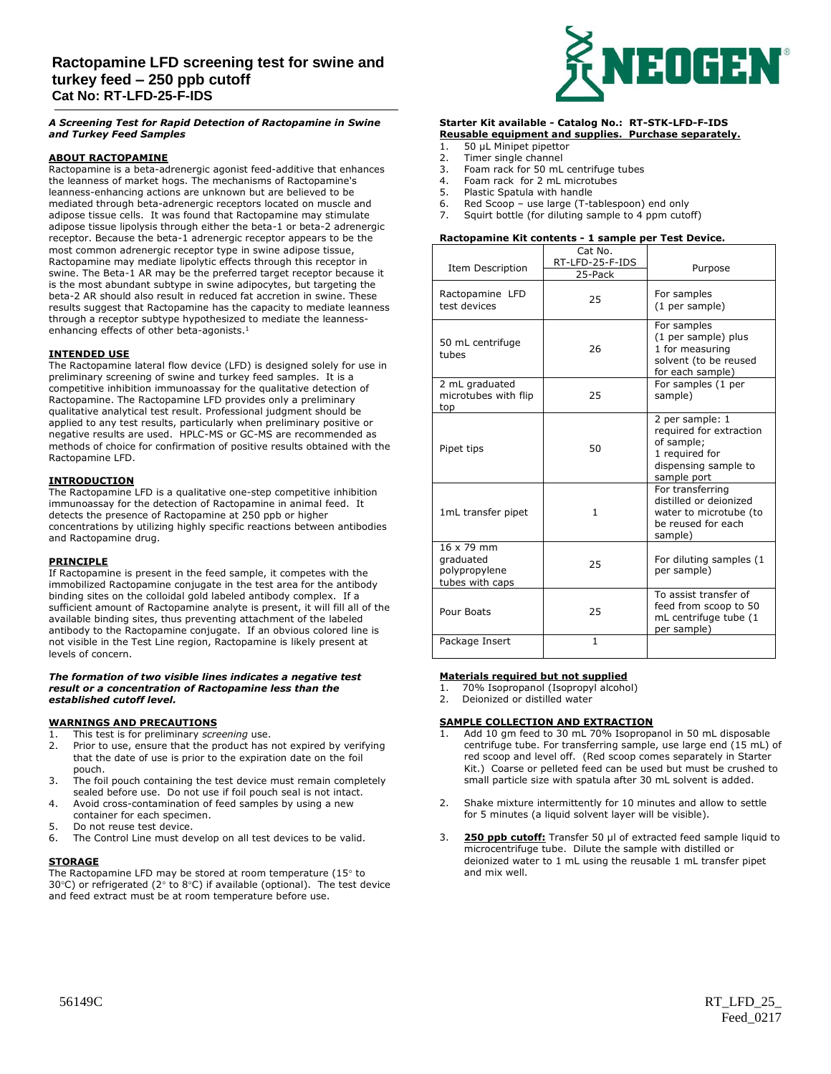# **Ractopamine LFD screening test for swine and turkey feed – 250 ppb cutoff Cat No: RT-LFD-25-F-IDS**

A Screening Test for Rapid Detection of Ractopamine in Swine<br>and Turkev Feed Samples *and Turkey Feed Samples*

## **ABOUT RACTOPAMINE**

Ractopamine is a beta-adrenergic agonist feed-additive that enhances the leanness of market hogs. The mechanisms of Ractopamine's leanness-enhancing actions are unknown but are believed to be mediated through beta-adrenergic receptors located on muscle and adipose tissue cells. It was found that Ractopamine may stimulate adipose tissue lipolysis through either the beta-1 or beta-2 adrenergic receptor. Because the beta-1 adrenergic receptor appears to be the most common adrenergic receptor type in swine adipose tissue, Ractopamine may mediate lipolytic effects through this receptor in swine. The Beta-1 AR may be the preferred target receptor because it is the most abundant subtype in swine adipocytes, but targeting the beta-2 AR should also result in reduced fat accretion in swine. These results suggest that Ractopamine has the capacity to mediate leanness through a receptor subtype hypothesized to mediate the leannessenhancing effects of other beta-agonists.<sup>1</sup>

### **INTENDED USE**

The Ractopamine lateral flow device (LFD) is designed solely for use in preliminary screening of swine and turkey feed samples. It is a competitive inhibition immunoassay for the qualitative detection of Ractopamine. The Ractopamine LFD provides only a preliminary qualitative analytical test result. Professional judgment should be applied to any test results, particularly when preliminary positive or negative results are used. HPLC-MS or GC-MS are recommended as methods of choice for confirmation of positive results obtained with the Ractopamine LFD.

### **INTRODUCTION**

The Ractopamine LFD is a qualitative one-step competitive inhibition immunoassay for the detection of Ractopamine in animal feed. It detects the presence of Ractopamine at 250 ppb or higher concentrations by utilizing highly specific reactions between antibodies and Ractopamine drug.

#### **PRINCIPLE**

If Ractopamine is present in the feed sample, it competes with the immobilized Ractopamine conjugate in the test area for the antibody binding sites on the colloidal gold labeled antibody complex. If a sufficient amount of Ractopamine analyte is present, it will fill all of the available binding sites, thus preventing attachment of the labeled antibody to the Ractopamine conjugate. If an obvious colored line is not visible in the Test Line region, Ractopamine is likely present at levels of concern.

#### *The formation of two visible lines indicates a negative test result or a concentration of Ractopamine less than the established cutoff level.*

#### **WARNINGS AND PRECAUTIONS**

- 1. This test is for preliminary *screening* use.
- 2. Prior to use, ensure that the product has not expired by verifying that the date of use is prior to the expiration date on the foil pouch.
- 3. The foil pouch containing the test device must remain completely sealed before use. Do not use if foil pouch seal is not intact.
- 4. Avoid cross-contamination of feed samples by using a new container for each specimen.
- 5. Do not reuse test device.
- 6. The Control Line must develop on all test devices to be valid.

#### **STORAGE**

The Ractopamine LFD may be stored at room temperature (15 $\degree$  to 30°C) or refrigerated (2° to 8°C) if available (optional). The test device and feed extract must be at room temperature before use.



#### **Starter Kit available - Catalog No.: RT-STK-LFD-F-IDS Reusable equipment and supplies. Purchase separately.** 1. 50 µL Minipet pipettor

- 2. Timer single channel
- 3. Foam rack for 50 mL centrifuge tubes
- 4. Foam rack for 2 mL microtubes
- 5. Plastic Spatula with handle
- 6. Red Scoop use large (T-tablespoon) end only<br>7. Squirt bottle (for diluting sample to 4 npm cuto
- Squirt bottle (for diluting sample to 4 ppm cutoff)

#### **Ractopamine Kit contents - 1 sample per Test Device.**

| Item Description                                            | Cat No.<br>RT-LFD-25-F-IDS<br>25-Pack | Purpose                                                                                                           |
|-------------------------------------------------------------|---------------------------------------|-------------------------------------------------------------------------------------------------------------------|
| Ractopamine LFD<br>test devices                             | 25                                    | For samples<br>(1 per sample)                                                                                     |
| 50 mL centrifuge<br>tubes                                   | 26                                    | For samples<br>(1 per sample) plus<br>1 for measuring<br>solvent (to be reused<br>for each sample)                |
| 2 mL graduated<br>microtubes with flip<br>top               | 25                                    | For samples (1 per<br>sample)                                                                                     |
| Pipet tips                                                  | 50                                    | 2 per sample: 1<br>required for extraction<br>of sample;<br>1 required for<br>dispensing sample to<br>sample port |
| 1mL transfer pipet                                          | 1                                     | For transferring<br>distilled or deionized<br>water to microtube (to<br>be reused for each<br>sample)             |
| 16 x 79 mm<br>graduated<br>polypropylene<br>tubes with caps | 25                                    | For diluting samples (1<br>per sample)                                                                            |
| Pour Boats                                                  | 25                                    | To assist transfer of<br>feed from scoop to 50<br>mL centrifuge tube (1<br>per sample)                            |
| Package Insert                                              | $\mathbf{1}$                          |                                                                                                                   |

#### **Materials required but not supplied**

- 70% Isopropanol (Isopropyl alcohol)
- 2. Deionized or distilled water

#### **SAMPLE COLLECTION AND EXTRACTION**

- Add 10 gm feed to 30 mL 70% Isopropanol in 50 mL disposable centrifuge tube. For transferring sample, use large end (15 mL) of red scoop and level off. (Red scoop comes separately in Starter Kit.) Coarse or pelleted feed can be used but must be crushed to small particle size with spatula after 30 mL solvent is added.
- 2. Shake mixture intermittently for 10 minutes and allow to settle for 5 minutes (a liquid solvent layer will be visible).
- 3. **250 ppb cutoff:** Transfer 50 µl of extracted feed sample liquid to microcentrifuge tube. Dilute the sample with distilled or deionized water to 1 mL using the reusable 1 mL transfer pipet and mix well.